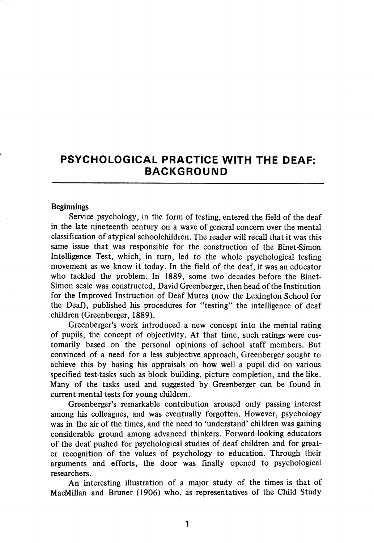# PSYCHOLOGICAL PRACTICE WITH THE DEAF: BACKGROUND

#### Beginnings

Service psychology, in the form of testing, entered the field of the deaf in the late nineteenth century on a wave of general concern over the mental classification of atypical schoolchildren. The reader will recall that it was this same issue that was responsible for the construction of the Binet-Simon Intelligence Test, which, in turn, led to the whole psychological testing movement as we know it today. In the field of the deaf, it was an educator who tackled the problem. In 1889, some two decades before the Binet-Simon scale was constructed, David Greenberger, then head of the Institution for the Improved Instruction of Deaf Mutes (now the Lexington School for the Deaf), published his procedures for "testing" the intelligence of deaf children (Greenberger, 1889).

Greenberger's work introduced a new concept into the mental rating of pupils, the concept of objectivity. At that time, such ratings were cus tomarily based on the personal opinions of school staff members. But convinced of a need for a less subjective approach, Greenberger sought to achieve this by basing his appraisals on how well a pupil did on various specified test-tasks such as block building, picture completion, and the like. Many of the tasks used and suggested by Greenberger can be found in current mental tests for young children.

Greenberger's remarkable contribution aroused only passing interest among his colleagues, and was eventually forgotten. However, psychology was in the air of the times, and the need to 'understand' children was gaining considerable ground among advanced thinkers. Forward-looking educators of the deaf pushed for psychological studies of deaf children and for great er recognition of the values of psychology to education. Through their arguments and efforts, the door was finally opened to psychological researchers.

An interesting illustration of a major study of the times is that of MacMillan and Bruner (1906) who, as representatives of the Child Study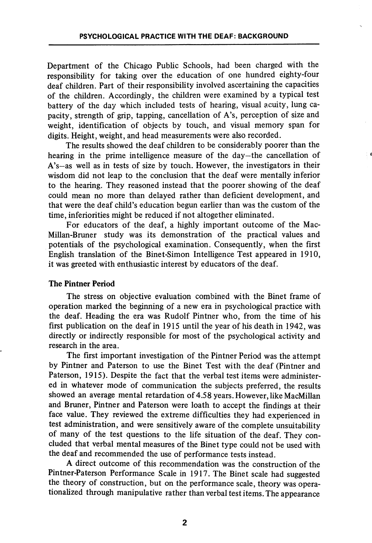Department of the Chicago Public Schools, had been charged with the responsibility for taking over the education of one hundred eighty-four deaf children. Part of their responsibility involved ascertaining the capacities of the children. Accordingly, the children were examined by a typical test battery of the day which included tests of hearing, visual acuity, lung ca pacity, strength of grip, tapping, cancellation of A's, perception of size and weight, identification of objects by touch, and visual memory span for digits. Height, weight, and head measurements were also recorded.

The results showed the deaf children to be considerably poorer than the hearing in the prime intelligence measure of the day—the cancellation of A's—as well as in tests of size by touch. However, the investigators in their wisdom did not leap to the conclusion that the deaf were mentally inferior to the hearing. They reasoned instead that the poorer showing of the deaf could mean no more than delayed rather than deficient development, and that were the deaf child's education begun earlier than was the custom of the time, inferiorities might be reduced if not altogether eliminated.

For educators of the deaf, a highly important outcome of the Mac-Millan-Bruner study was its demonstration of the practical values and potentials of the psychological examination. Consequently, when the first English translation of the Binet-Simon Intelligence Test appeared in 1910, it was greeted with enthusiastic interest by educators of the deaf.

### The Pintner Period

The stress on objective evaluation combined with the Binet frame of operation marked the beginning of a new era in psychological practice with the deaf. Heading the era was Rudolf Pintner who, from the time of his first publication on the deaf in  $1915$  until the year of his death in  $1942$ , was directly or indirectly responsible for most of the psychological activity and research in the area.

The first important investigation of the Pintner Period was the attempt by Pintner and Paterson to use the Binet Test with the deaf (Pintner and Paterson, 1915). Despite the fact that the verbal test items were administer ed in whatever mode of communication the subjects preferred, the results showed an average mental retardation of 4.58 years. However, like MacMillan and Bruner, Pintner and Paterson were loath to accept the findings at their face value. They reviewed the extreme difficulties they had experienced in test administration, and were sensitively aware of the complete unsuitability of many of the test questions to the life situation of the deaf. They con cluded that verbal mental measures of the Binet type could not be used with the deaf and recommended the use of performance tests instead.

A direct outcome of this recommendation was the construction of the Pintner-Paterson Performance Scale in 1917. The Binet scale had suggested the theory of construction, but on the performance scale, theory was operationalized through manipulative rather than verbal test items. The appearance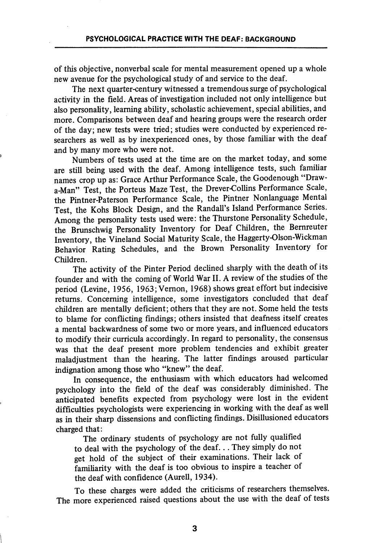of this objective, nonverbal scale for mental measurement opened up a whole new avenue for the psychological study of and service to the deaf.

The next quarter-century witnessed a tremendous surge of psychological activity in the field. Areas of investigation included not only intelligence but also personality, learning ability, scholastic achievement, special abilities, and more. Comparisons between deaf and hearing groups were the research order of the day; new tests were tried; studies were conducted by experienced re searchers as well as by inexperienced ones, by those familiar with the deaf and by many more who were not.

Numbers of tests used at the time are on the market today, and some are still being used with the deaf. Among intelligence tests, such familiar names crop up as: Grace Arthur Performance Scale, the Goodenough "Drawa-Man" Test, the Porteus Maze Test, the Drever-Collins Performance Scale, the Pintner-Paterson Performance Scale, the Pintner Nonlanguage Mental Test, the Kohs Block Design, and the Randall's Island Performance Series. Among the personality tests used were: the Thurstone Personality Schedule, the Brunschwig Personality Inventory for Deaf Children, the Bemreuter Inventory, the Vineland Social Maturity Scale, the Haggerty-Olson-Wickman Behavior Rating Schedules, and the Brown Personality Inventory for Children.

The activity of the Pinter Period declined sharply with the death of its founder and with the coming of World War II. A review of the studies of the period (Levine, 1956, 1963; Vernon, 1968) shows great effort but indecisive returns. Concerning intelligence, some investigators concluded that deaf children are mentally deficient; others that they are not. Some held the tests to blame for conflicting findings; others insisted that deafness itself creates a mental backwardness of some two or more years, and influenced educators to modify their curricula accordingly. In regard to personality, the consensus was that the deaf present more problem tendencies and exhibit greater maladjustment than the hearing. The latter findings aroused particular indignation among those who "knew" the deaf.

In consequence, the enthusiasm with which educators had welcomed psychology into the field of the deaf was considerably diminished. The anticipated benefits expected from psychology were lost in the evident difficulties psychologists were experiencing in working with the deaf as well as in their sharp dissensions and conflicting findings. Disillusioned educators charged that:

The ordinary students of psychology are not fully qualified to deal with the psychology of the deaf... They simply do not get hold of the subject of their examinations. Their lack of familiarity with the deaf is too obvious to inspire a teacher of the deaf with confidence (Aurell, 1934).

To these charges were added the criticisms of researchers themselves. The more experienced raised questions about the use with the deaf of tests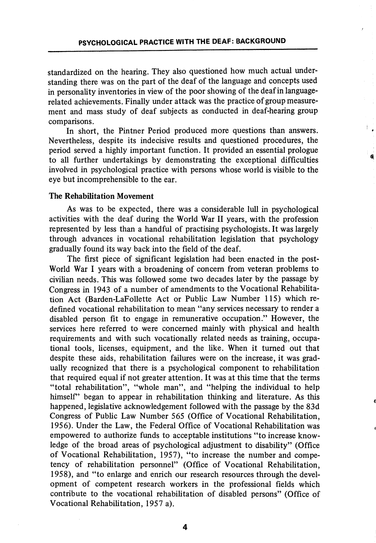standardized on the hearing. They also questioned how much actual understanding there was on the part of the deaf of the language and concepts used in personality inventories in view of the poor showing of the deaf in languagerelated achievements. Finally under attack was the practice of group measure ment and mass study of deaf subjects as conducted in deaf-hearing group comparisons.

In short, the Pintner Period produced more questions than answers. Nevertheless, despite its indecisive results and questioned procedures, the period served a highly important function. It provided an essential prologue to all further undertakings by demonstrating the exceptional difficulties involved in psychological practice with persons whose world is visible to the eye but incomprehensible to the ear.

### The Rehabilitation Movement

As was to be expected, there was a considerable lull in psychological activities with the deaf during the World War II years, with the profession represented by less than a handful of practising psychologists. It was largely through advances in vocational rehabilitation legislation that psychology gradually found its way back into the field of the deaf.

The first piece of significant legislation had been enacted in the post-World War I years with a broadening of concern from veteran problems to civilian needs. This was followed some two decades later by the passage by Congress in 1943 of a number of amendments to the Vocational Rehabilita tion Act (Barden-LaFollette Act or Public Law Number 115) which re defined vocational rehabilitation to mean "any services necessary to render a disabled person fit to engage in remunerative occupation." However, the services here referred to were concerned mainly with physical and health requirements and with such vocationally related needs as training, occupa tional tools, licenses, equipment, and the like. When it turned out that despite these aids, rehabilitation failures were on the increase, it was grad ually recognized that there is a psychological component to rehabilitation that required equal if not greater attention. It was at this time that the terms "total rehabilitation", "whole man", and "helping the individual to help himself" began to appear in rehabilitation thinking and literature. As this happened, legislative acknowledgement followed with the passage by the 83d Congress of Public Law Number 565 (Office of Vocational Rehabilitation, 1956). Under the Law, the Federal Office of Vocational Rehabilitation was empowered to authorize funds to acceptable institutions "to increase know ledge of the broad areas of psychological adjustment to disability" (Office of Vocational Rehabilitation, 1957), "to increase the number and compe tency of rehabilitation personnel" (Office of Vocational Rehabilitation, 1958), and "to enlarge and enrich our research resources through the devel opment of competent research workers in the professional fields which contribute to the vocational rehabilitation of disabled persons" (Office of Vocational Rehabilitation, 1957 a).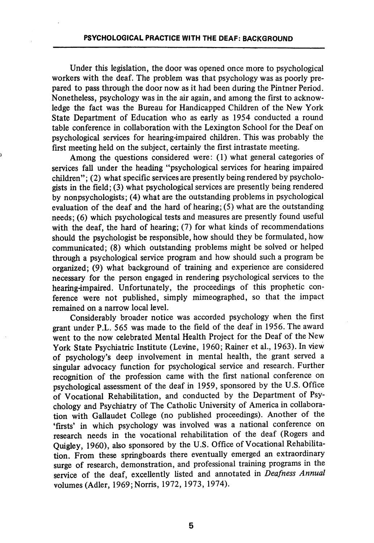Under this legislation, the door was opened once more to psychological workers with the deaf. The problem was that psychology was as poorly pre pared to pass through the door now as it had been during the Pintner Period. Nonetheless, psychology was in the air again, and among the first to acknow ledge the fact was the Bureau for Handicapped Children of the New York State Department of Education who as early as 1954 conducted a round table conference in collaboration with the Lexington School for the Deaf on psychological services for hearing-impaired children. This was probably the first meeting held on the subject, certainly the first intrastate meeting.

Among the questions considered were: (1) what general categories of services fall under the heading "psychological services for hearing impaired children"; (2) what specific services are presently being rendered by psycholo gists in the field; (3) what psychological services are presently being rendered by nonpsychologists; (4) what are the outstanding problems in psychological evaluation of the deaf and the hard of hearing; (5) what are the outstanding needs; (6) which psychological tests and measures are presently found useful with the deaf, the hard of hearing; (7) for what kinds of recommendations should the psychologist be responsible, how should they be formulated, how communicated; (8) which outstanding problems might be solved or helped through a psychological service program and how should such a program be organized; (9) what background of training and experience are considered necessary for the person engaged in rendering psychological services to the hearing-impaired. Unfortunately, the proceedings of this prophetic con ference were not published, simply mimeographed, so that the impact remained on a narrow local level.

Considerably broader notice was accorded psychology when the first grant under P.L. 565 was made to the field of the deaf in 1956. The award went to the now celebrated Mental Health Project for the Deaf of the New York State Psychiatric Institute (Levine, 1960; Rainer et al., 1963). In view of psychology's deep involvement in mental health, the grant served a singular advocacy function for psychological service and research. Further recognition of the profession came with the first national conference on psychological assessment of the deaf in 1959, sponsored by the U.S. Office of Vocational Rehabilitation, and conducted by the Department of Psy chology and Psychiatry of The Catholic University of America in collabora tion with Gallaudet College (no published proceedings). Another of the 'firsts' in which psychology was involved was a national conference on research needs in the vocational rehabilitation of the deaf (Rogers and Quigley, 1960), also sponsored by the U.S. Office of Vocational Rehabilita tion. From these springboards there eventually emerged an extraordinary surge of research, demonstration, and professional training programs in the service of the deaf, excellently listed and annotated in Deafness Annual volumes (Adler, 1969;Norris, 1972, 1973, 1974).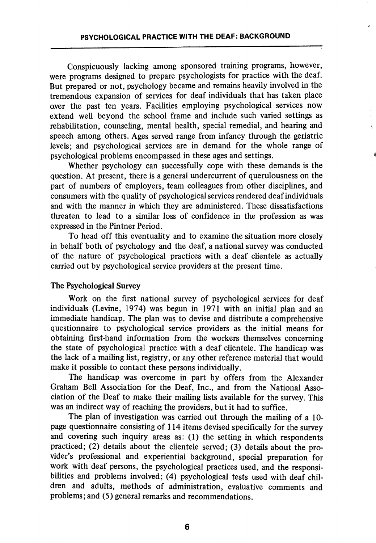Conspicuously lacking among sponsored training programs, however, were programs designed to prepare psychologists for practice with the deaf. But prepared or not, psychology became and remains heavily involved in the tremendous expansion of services for deaf individuals that has taken place over the past ten years. Facilities employing psychological services now extend well beyond the school frame and include such varied settings as rehabilitation, counseling, mental health, special remedial, and hearing and speech among others. Ages served range from infancy through the geriatric levels; and psychological services are in demand for the whole range of psychological problems encompassed in these ages and settings.

Ÿ

Whether psychology can successfully cope with these demands is the question. At present, there is a general undercurrent of querulousness on the part of numbers of employers, team colleagues from other disciplines, and consumers with the quality of psychological services rendered deaf individuals and with the manner in which they are administered. These dissatisfactions threaten to lead to a similar loss of confidence in the profession as was expressed in the Pintner Period.

To head off this eventuality and to examine the situation more closely in behalf both of psychology and the deaf, a national survey was conducted of the nature of psychological practices with a deaf clientele as actually carried out by psychological service providers at the present time.

## The Psychological Survey

Work on the first national survey of psychological services for deaf individuals (Levine, 1974) was begun in 1971 with an initial plan and an immediate handicap. The plan was to devise and distribute a comprehensive questionnaire to psychological service providers as the initial means for obtaining first-hand information from the workers themselves concerning the state of psychological practice with a deaf clientele. The handicap was the lack of a mailing list, registry, or any other reference material that would make it possible to contact these persons individually.

The handicap was overcome in part by offers from the Alexander Graham Bell Association for the Deaf, Inc., and from the National Asso ciation of the Deaf to make their mailing lists available for the survey. This was an indirect way of reaching the providers, but it had to suffice.

The plan of investigation was carried out through the mailing of a 10 page questionnaire consisting of 114 items devised specifically for the survey and covering such inquiry areas as: (1) the setting in which respondents practiced; (2) details about the clientele served; (3) details about the pro vider's professional and experiential background, special preparation for work with deaf persons, the psychological practices used, and the responsi bilities and problems involved; (4) psychological tests used with deaf chil dren and adults, methods of administration, evaluative comments and problems; and (5) general remarks and recommendations.